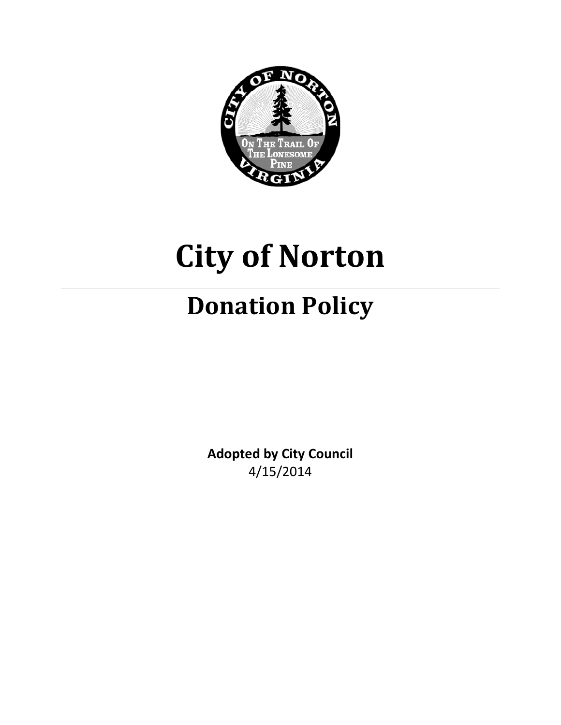

# **City of Norton**

# **Donation Policy**

**Adopted by City Council** 4/15/2014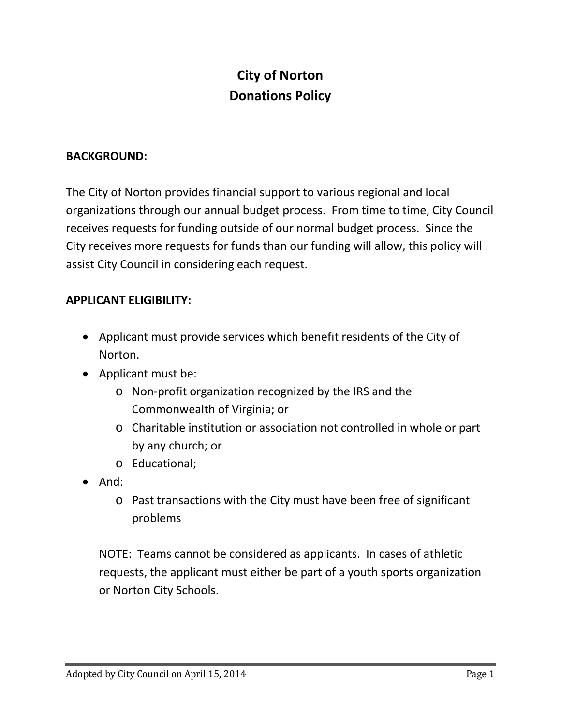## **City of Norton Donations Policy**

#### **BACKGROUND:**

The City of Norton provides financial support to various regional and local organizations through our annual budget process. From time to time, City Council receives requests for funding outside of our normal budget process. Since the City receives more requests for funds than our funding will allow, this policy will assist City Council in considering each request.

#### **APPLICANT ELIGIBILITY:**

- Applicant must provide services which benefit residents of the City of Norton.
- Applicant must be:
	- o Non-profit organization recognized by the IRS and the Commonwealth of Virginia; or
	- o Charitable institution or association not controlled in whole or part by any church; or
	- o Educational;
- And:
	- o Past transactions with the City must have been free of significant problems

NOTE: Teams cannot be considered as applicants. In cases of athletic requests, the applicant must either be part of a youth sports organization or Norton City Schools.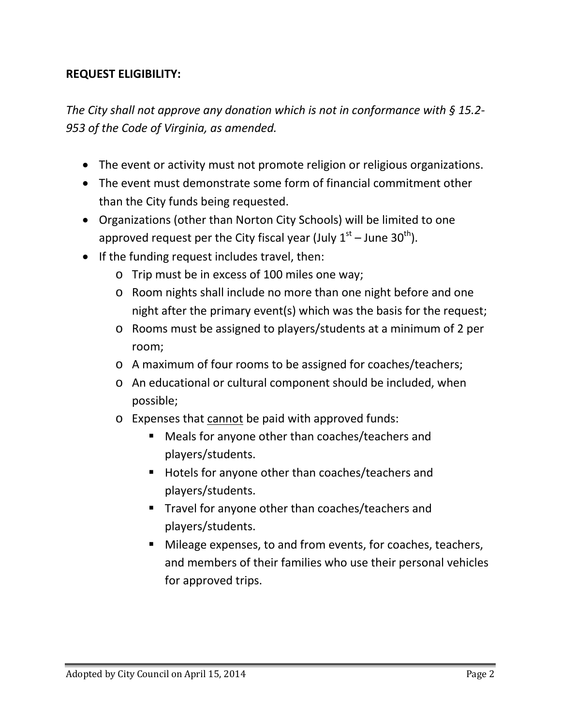#### **REQUEST ELIGIBILITY:**

*The City shall not approve any donation which is not in conformance with § 15.2- 953 of the Code of Virginia, as amended.*

- The event or activity must not promote religion or religious organizations.
- The event must demonstrate some form of financial commitment other than the City funds being requested.
- Organizations (other than Norton City Schools) will be limited to one approved request per the City fiscal year (July  $1<sup>st</sup>$  – June 30<sup>th</sup>).
- If the funding request includes travel, then:
	- o Trip must be in excess of 100 miles one way;
	- o Room nights shall include no more than one night before and one night after the primary event(s) which was the basis for the request;
	- o Rooms must be assigned to players/students at a minimum of 2 per room;
	- o A maximum of four rooms to be assigned for coaches/teachers;
	- o An educational or cultural component should be included, when possible;
	- o Expenses that cannot be paid with approved funds:
		- Meals for anyone other than coaches/teachers and players/students.
		- Hotels for anyone other than coaches/teachers and players/students.
		- **Travel for anyone other than coaches/teachers and** players/students.
		- Mileage expenses, to and from events, for coaches, teachers, and members of their families who use their personal vehicles for approved trips.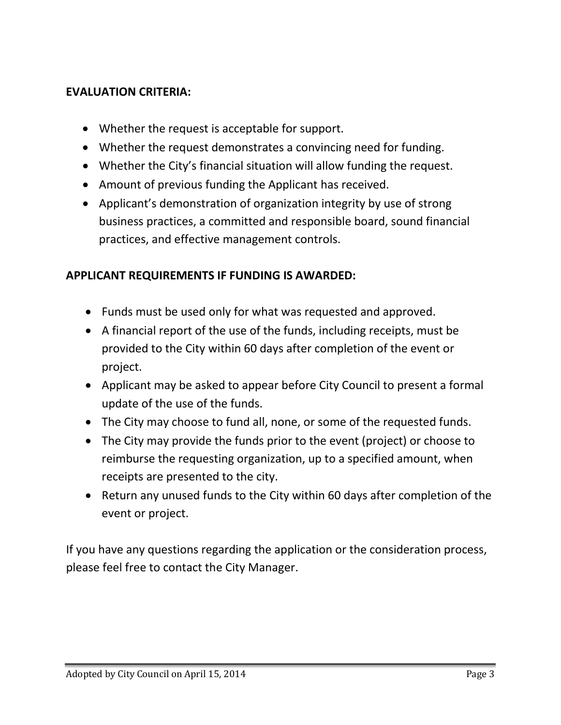#### **EVALUATION CRITERIA:**

- Whether the request is acceptable for support.
- Whether the request demonstrates a convincing need for funding.
- Whether the City's financial situation will allow funding the request.
- Amount of previous funding the Applicant has received.
- Applicant's demonstration of organization integrity by use of strong business practices, a committed and responsible board, sound financial practices, and effective management controls.

#### **APPLICANT REQUIREMENTS IF FUNDING IS AWARDED:**

- Funds must be used only for what was requested and approved.
- A financial report of the use of the funds, including receipts, must be provided to the City within 60 days after completion of the event or project.
- Applicant may be asked to appear before City Council to present a formal update of the use of the funds.
- The City may choose to fund all, none, or some of the requested funds.
- The City may provide the funds prior to the event (project) or choose to reimburse the requesting organization, up to a specified amount, when receipts are presented to the city.
- Return any unused funds to the City within 60 days after completion of the event or project.

If you have any questions regarding the application or the consideration process, please feel free to contact the City Manager.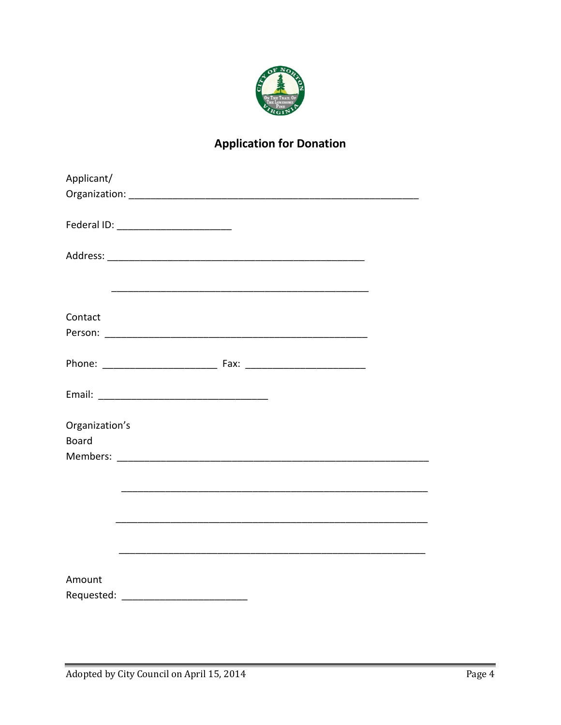

### **Application for Donation**

| Applicant/     |                                                        |  |
|----------------|--------------------------------------------------------|--|
|                |                                                        |  |
|                |                                                        |  |
|                |                                                        |  |
|                |                                                        |  |
|                |                                                        |  |
|                |                                                        |  |
|                |                                                        |  |
|                |                                                        |  |
| Contact        |                                                        |  |
|                |                                                        |  |
|                |                                                        |  |
|                |                                                        |  |
|                |                                                        |  |
|                |                                                        |  |
|                |                                                        |  |
| Organization's |                                                        |  |
| <b>Board</b>   |                                                        |  |
|                |                                                        |  |
|                |                                                        |  |
|                |                                                        |  |
|                | <u> 1989 - Jan Barnett, fransk politiker (d. 1989)</u> |  |
|                |                                                        |  |
|                |                                                        |  |
|                |                                                        |  |
|                |                                                        |  |
|                |                                                        |  |
| Amount         |                                                        |  |
|                |                                                        |  |
|                |                                                        |  |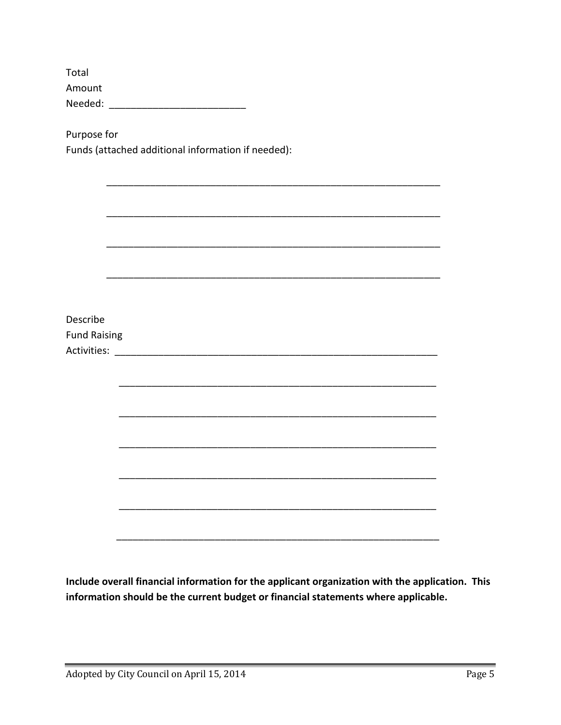| Total   |  |
|---------|--|
| Amount  |  |
| Needed: |  |

Purpose for Funds (attached additional information if needed):

| Describe            |  |  |  |
|---------------------|--|--|--|
|                     |  |  |  |
| <b>Fund Raising</b> |  |  |  |
|                     |  |  |  |
|                     |  |  |  |
|                     |  |  |  |
|                     |  |  |  |
|                     |  |  |  |
|                     |  |  |  |
|                     |  |  |  |
|                     |  |  |  |
|                     |  |  |  |
|                     |  |  |  |
|                     |  |  |  |
|                     |  |  |  |
|                     |  |  |  |
|                     |  |  |  |
|                     |  |  |  |
|                     |  |  |  |
|                     |  |  |  |
|                     |  |  |  |
|                     |  |  |  |

Include overall financial information for the applicant organization with the application. This information should be the current budget or financial statements where applicable.